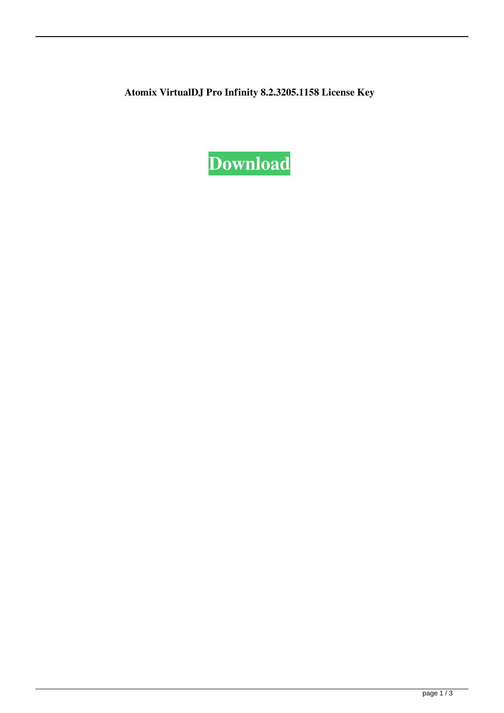**Atomix VirtualDJ Pro Infinity 8.2.3205.1158 License Key**

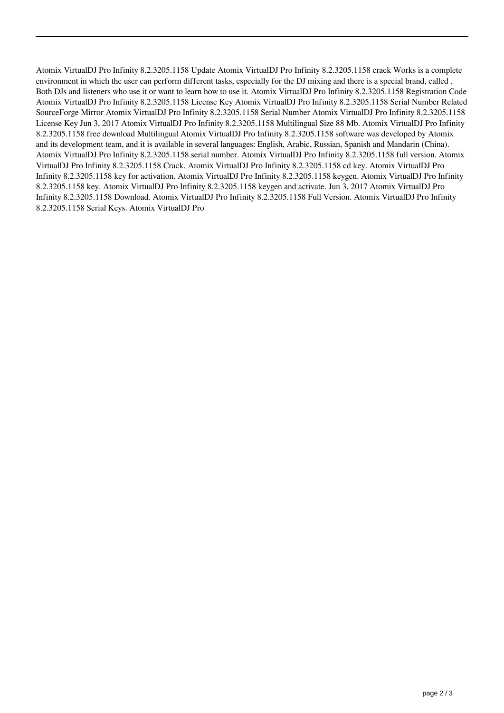Atomix VirtualDJ Pro Infinity 8.2.3205.1158 Update Atomix VirtualDJ Pro Infinity 8.2.3205.1158 crack Works is a complete environment in which the user can perform different tasks, especially for the DJ mixing and there is a special brand, called . Both DJs and listeners who use it or want to learn how to use it. Atomix VirtualDJ Pro Infinity 8.2.3205.1158 Registration Code Atomix VirtualDJ Pro Infinity 8.2.3205.1158 License Key Atomix VirtualDJ Pro Infinity 8.2.3205.1158 Serial Number Related SourceForge Mirror Atomix VirtualDJ Pro Infinity 8.2.3205.1158 Serial Number Atomix VirtualDJ Pro Infinity 8.2.3205.1158 License Key Jun 3, 2017 Atomix VirtualDJ Pro Infinity 8.2.3205.1158 Multilingual Size 88 Mb. Atomix VirtualDJ Pro Infinity 8.2.3205.1158 free download Multilingual Atomix VirtualDJ Pro Infinity 8.2.3205.1158 software was developed by Atomix and its development team, and it is available in several languages: English, Arabic, Russian, Spanish and Mandarin (China). Atomix VirtualDJ Pro Infinity 8.2.3205.1158 serial number. Atomix VirtualDJ Pro Infinity 8.2.3205.1158 full version. Atomix VirtualDJ Pro Infinity 8.2.3205.1158 Crack. Atomix VirtualDJ Pro Infinity 8.2.3205.1158 cd key. Atomix VirtualDJ Pro Infinity 8.2.3205.1158 key for activation. Atomix VirtualDJ Pro Infinity 8.2.3205.1158 keygen. Atomix VirtualDJ Pro Infinity 8.2.3205.1158 key. Atomix VirtualDJ Pro Infinity 8.2.3205.1158 keygen and activate. Jun 3, 2017 Atomix VirtualDJ Pro Infinity 8.2.3205.1158 Download. Atomix VirtualDJ Pro Infinity 8.2.3205.1158 Full Version. Atomix VirtualDJ Pro Infinity 8.2.3205.1158 Serial Keys. Atomix VirtualDJ Pro